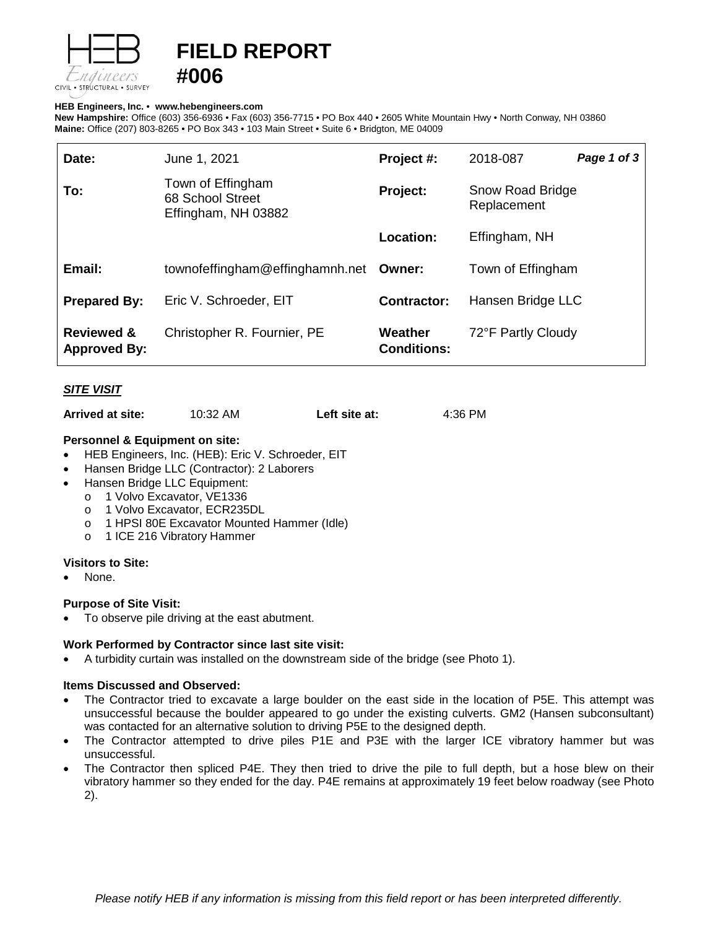

# **FIELD REPORT**

#### **HEB Engineers, Inc.** • **[www.hebengineer](http://www.hebengineers.com/)s.com**

**#006**

**New Hampshire:** Office (603) 356-6936 • Fax (603) 356-7715 • PO Box 440 • 2605 White Mountain Hwy • North Conway, NH 03860 **Maine:** Office (207) 803-8265 • PO Box 343 • 103 Main Street • Suite 6 • Bridgton, ME 04009

| Date:                                        | June 1, 2021                                                 | Project #:                    | 2018-087                        | Page 1 of 3 |
|----------------------------------------------|--------------------------------------------------------------|-------------------------------|---------------------------------|-------------|
| To:                                          | Town of Effingham<br>68 School Street<br>Effingham, NH 03882 | Project:                      | Snow Road Bridge<br>Replacement |             |
|                                              |                                                              | Location:                     | Effingham, NH                   |             |
| Email:                                       | townofeffingham@effinghamnh.net                              | Owner:                        | Town of Effingham               |             |
| <b>Prepared By:</b>                          | Eric V. Schroeder, EIT                                       | <b>Contractor:</b>            | Hansen Bridge LLC               |             |
| <b>Reviewed &amp;</b><br><b>Approved By:</b> | Christopher R. Fournier, PE                                  | Weather<br><b>Conditions:</b> | 72°F Partly Cloudy              |             |

# *SITE VISIT*

**Arrived at site:** 10:32 AM **Left site at:** 4:36 PM

## **Personnel & Equipment on site:**

- HEB Engineers, Inc. (HEB): Eric V. Schroeder, EIT
- Hansen Bridge LLC (Contractor): 2 Laborers
- Hansen Bridge LLC Equipment:
	- o 1 Volvo Excavator, VE1336
		- o 1 Volvo Excavator, ECR235DL
		- o 1 HPSI 80E Excavator Mounted Hammer (Idle)
		- o 1 ICE 216 Vibratory Hammer

## **Visitors to Site:**

None.

## **Purpose of Site Visit:**

• To observe pile driving at the east abutment.

## **Work Performed by Contractor since last site visit:**

• A turbidity curtain was installed on the downstream side of the bridge (see Photo 1).

## **Items Discussed and Observed:**

- The Contractor tried to excavate a large boulder on the east side in the location of P5E. This attempt was unsuccessful because the boulder appeared to go under the existing culverts. GM2 (Hansen subconsultant) was contacted for an alternative solution to driving P5E to the designed depth.
- The Contractor attempted to drive piles P1E and P3E with the larger ICE vibratory hammer but was unsuccessful.
- The Contractor then spliced P4E. They then tried to drive the pile to full depth, but a hose blew on their vibratory hammer so they ended for the day. P4E remains at approximately 19 feet below roadway (see Photo 2).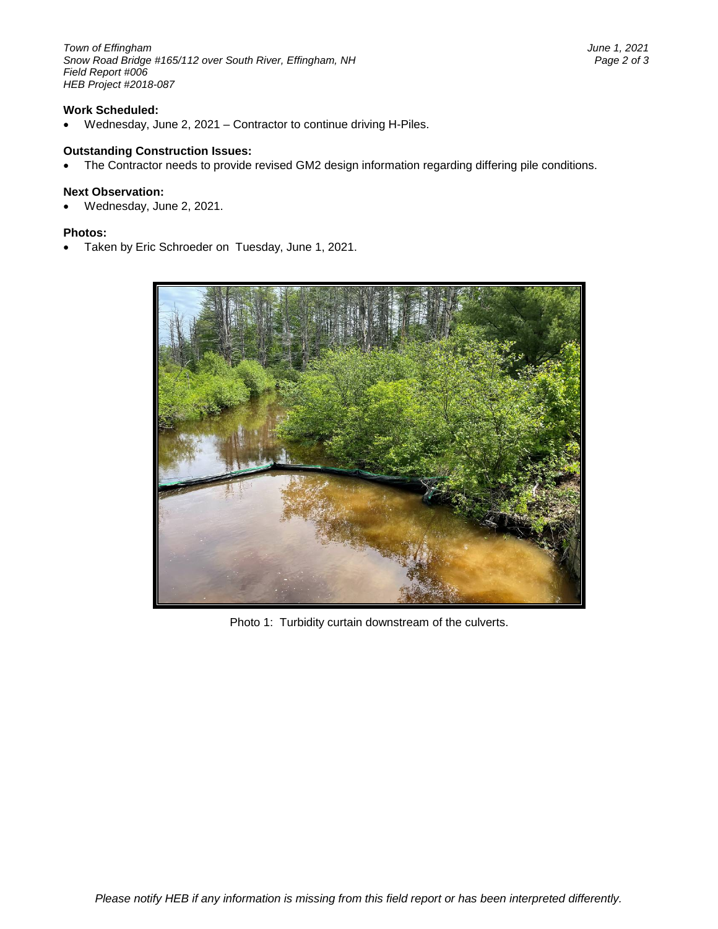*Town of Effingham June 1, 2021 Snow Road Bridge #165/112 over South River, Effingham, NH Page 2 of 3 Field Report #006 HEB Project #2018-087*

# **Work Scheduled:**

• Wednesday, June 2, 2021 – Contractor to continue driving H-Piles.

#### **Outstanding Construction Issues:**

• The Contractor needs to provide revised GM2 design information regarding differing pile conditions.

#### **Next Observation:**

• Wednesday, June 2, 2021.

#### **Photos:**

• Taken by Eric Schroeder on Tuesday, June 1, 2021.



Photo 1: Turbidity curtain downstream of the culverts.